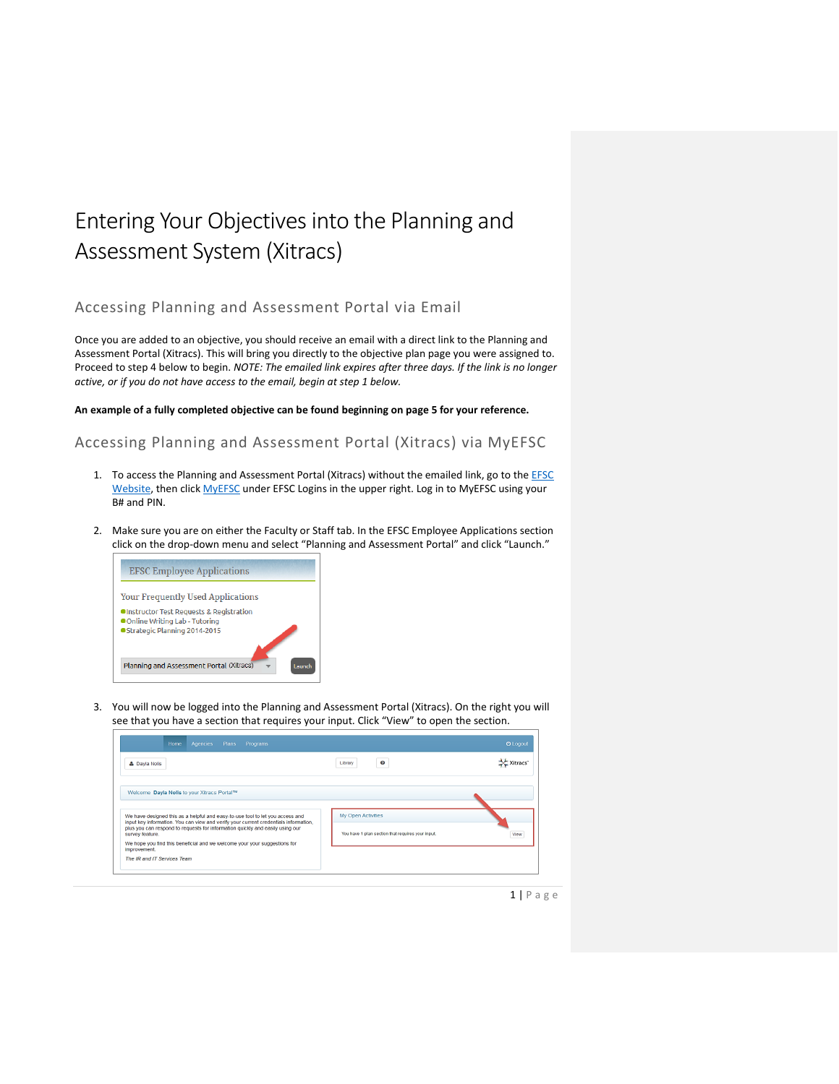# Entering Your Objectives into the Planning and Assessment System (Xitracs)

# Accessing Planning and Assessment Portal via Email

Once you are added to an objective, you should receive an email with a direct link to the Planning and Assessment Portal (Xitracs). This will bring you directly to the objective plan page you were assigned to. Proceed to step 4 below to begin. *NOTE: The emailed link expires after three days. If the link is no longer active, or if you do not have access to the email, begin at step 1 below.*

**An example of a fully completed objective can be found beginning on page 5 for your reference.**

Accessing Planning and Assessment Portal (Xitracs) via MyEFSC

- 1. To access the Planning and Assessment Portal (Xitracs) without the emailed link, go to the **EFSC** [Website,](http://www.easternflorida.edu/) then click **[MyEFSC](https://my.easternflorida.edu/content/main.cfm)** under EFSC Logins in the upper right. Log in to MyEFSC using your B# and PIN.
- 2. Make sure you are on either the Faculty or Staff tab. In the EFSC Employee Applications section click on the drop-down menu and select "Planning and Assessment Portal" and click "Launch."



3. You will now be logged into the Planning and Assessment Portal (Xitracs). On the right you will see that you have a section that requires your input. Click "View" to open the section.

| Home<br><b>Agencies</b><br>Plans<br>Programs                                                                                                                          |                                                   | <b>O</b> Logout |
|-----------------------------------------------------------------------------------------------------------------------------------------------------------------------|---------------------------------------------------|-----------------|
| & Dayla Nolis                                                                                                                                                         | $\boldsymbol{\circ}$<br>Library                   | Xitracs         |
| Welcome Dayla Nolis to your Xitracs Portal™                                                                                                                           |                                                   |                 |
| We have designed this as a helpful and easy-to-use tool to let you access and<br>input key information. You can view and verify your current credentials information, | My Open Activities                                |                 |
| plus you can respond to requests for information quickly and easily using our<br>survey feature.                                                                      | You have 1 plan section that requires your input. | View            |
| We hope you find this beneficial and we welcome your your suggestions for<br>improvement.                                                                             |                                                   |                 |
| The IR and IT Services Team                                                                                                                                           |                                                   |                 |

 $1 | P a g e$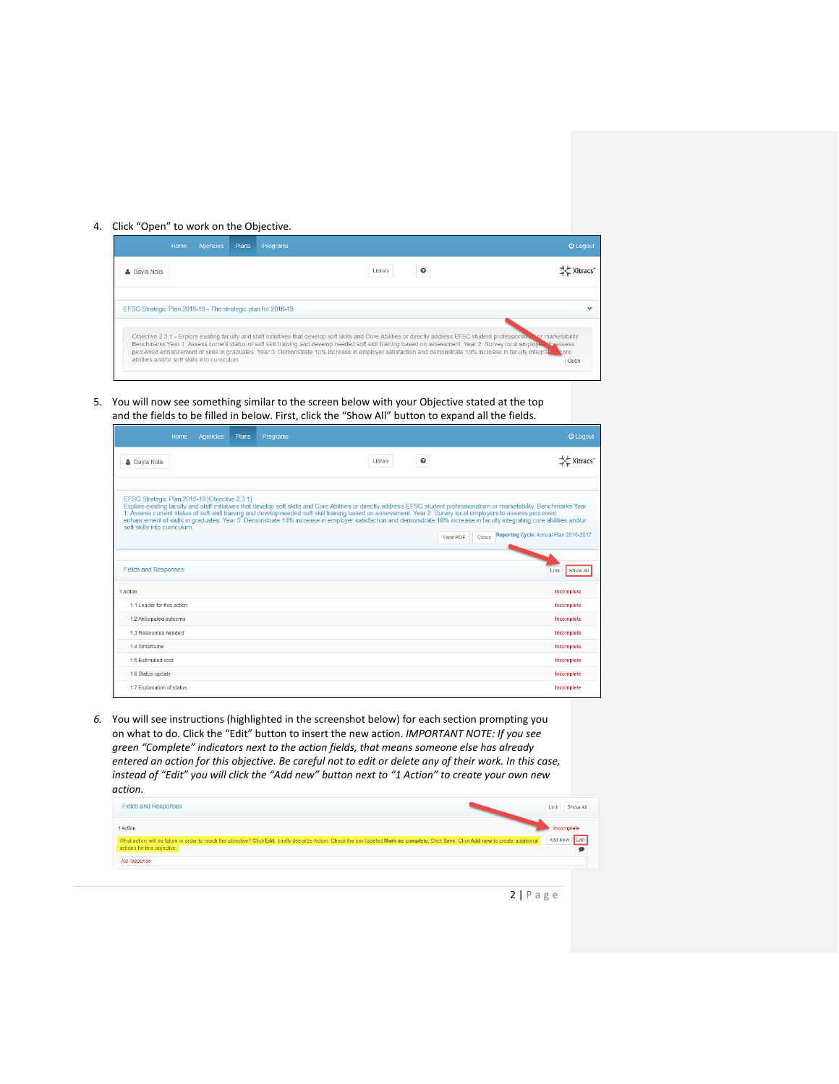# 4. Click "Open" to work on the Objective.



## 5. You will now see something similar to the screen below with your Objective stated at the top and the fields to be filled in below. First, click the "Show All" button to expand all the fields.

| Home<br>Agencies                                                             | Plans | Programs                                                                                                                                                       |   | <b>む</b> Logout                                                                                                                                                                                                                                                                                                                                                                                                         |
|------------------------------------------------------------------------------|-------|----------------------------------------------------------------------------------------------------------------------------------------------------------------|---|-------------------------------------------------------------------------------------------------------------------------------------------------------------------------------------------------------------------------------------------------------------------------------------------------------------------------------------------------------------------------------------------------------------------------|
| <b>&amp; Dayla Nolis</b>                                                     |       | Library                                                                                                                                                        | ๏ | Xitracs                                                                                                                                                                                                                                                                                                                                                                                                                 |
| EFSC Strategic Plan 2016-19 [Objective 2.3.1]<br>soft skills into curriculum |       | 1: Assess current status of soft skill training and develop needed soft skill training based on assessment. Year 2: Survey local employers to assess perceived |   | Explore existing faculty and staff initiatives that develop soft skills and Core Abilities or directly address EFSC student professionalism or marketability. Benchmarks Year<br>enhancement of skills in graduates. Year 3: Demonstrate 10% increase in employer satisfaction and demonstrate 10% increase in faculty integrating core abilities and/or<br>Reporting Cycle: Annual Plan 2016-2017<br>View PDF<br>Close |
| <b>Fields and Responses</b>                                                  |       |                                                                                                                                                                |   | Show All<br>Link                                                                                                                                                                                                                                                                                                                                                                                                        |
| 1 Action                                                                     |       |                                                                                                                                                                |   | Incomplete                                                                                                                                                                                                                                                                                                                                                                                                              |
| 1.1 Leader for this action                                                   |       |                                                                                                                                                                |   | Incomplete                                                                                                                                                                                                                                                                                                                                                                                                              |
| 1.2 Anticipated outcome                                                      |       |                                                                                                                                                                |   | Incomplete                                                                                                                                                                                                                                                                                                                                                                                                              |
| 1.3 Resources needed                                                         |       |                                                                                                                                                                |   | Incomplete                                                                                                                                                                                                                                                                                                                                                                                                              |
| 14 Timeframe                                                                 |       |                                                                                                                                                                |   | Incomplete                                                                                                                                                                                                                                                                                                                                                                                                              |
| 1.5 Estimated cost                                                           |       |                                                                                                                                                                |   | Incomplete                                                                                                                                                                                                                                                                                                                                                                                                              |
| 1.6 Status update                                                            |       |                                                                                                                                                                |   | Incomplete                                                                                                                                                                                                                                                                                                                                                                                                              |
| 1.7 Explanation of status                                                    |       |                                                                                                                                                                |   | Incomplete                                                                                                                                                                                                                                                                                                                                                                                                              |

*6.* You will see instructions (highlighted in the screenshot below) for each section prompting you on what to do. Click the "Edit" button to insert the new action. *IMPORTANT NOTE: If you see green "Complete" indicators next to the action fields, that means someone else has already entered an action for this objective. Be careful not to edit or delete any of their work. In this case, instead of "Edit" you will click the "Add new" button next to "1 Action" to create your own new action.*

| <b>Fields and Responses</b>                                                                                                                                                                                           | Link:<br>Show All |
|-----------------------------------------------------------------------------------------------------------------------------------------------------------------------------------------------------------------------|-------------------|
| 1 Action                                                                                                                                                                                                              | Incomplete        |
| What action will be taken in order to reach the objective? Click Edit, briefly describe Action. Check the box labeled Mark as complete. Click Save. Click Add new to create additional<br>actions for this objective. | Add new Edit      |
| No response                                                                                                                                                                                                           |                   |

 $2 | P a g e$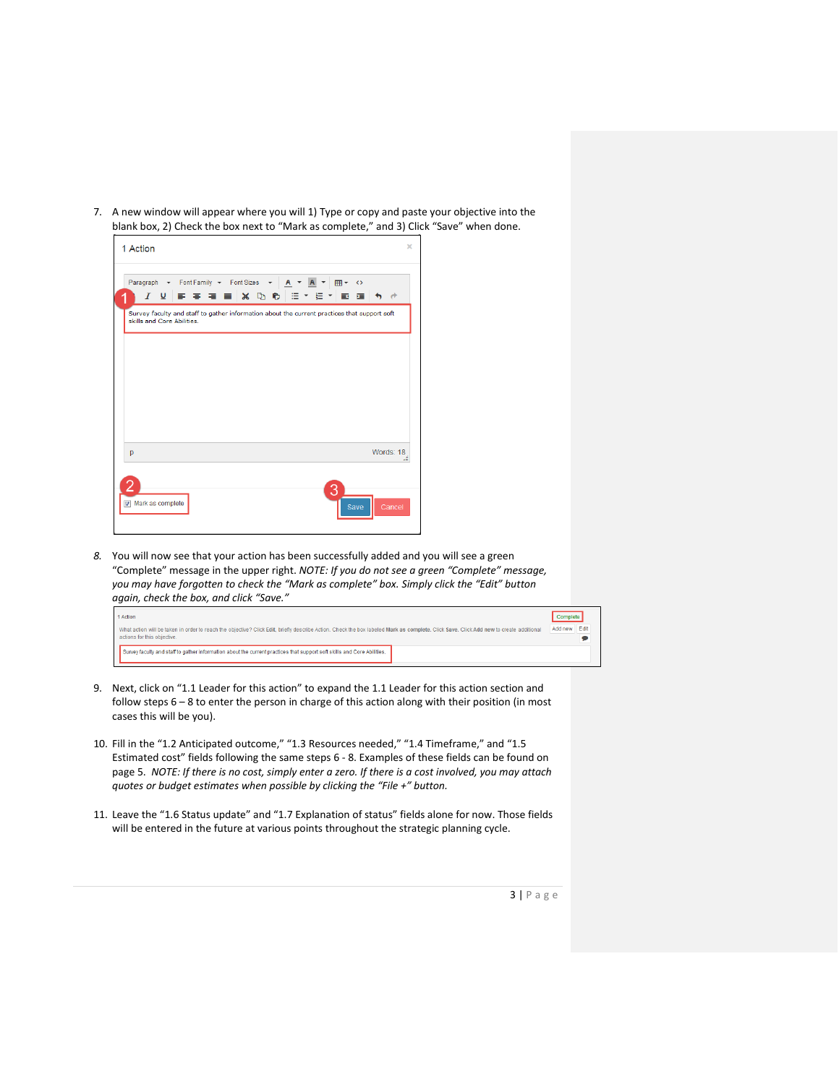7. A new window will appear where you will 1) Type or copy and paste your objective into the blank box, 2) Check the box next to "Mark as complete," and 3) Click "Save" when done.



*8.* You will now see that your action has been successfully added and you will see a green "Complete" message in the upper right. *NOTE: If you do not see a green "Complete" message, you may have forgotten to check the "Mark as complete" box. Simply click the "Edit" button again, check the box, and click "Save."*

| 1 Action                                                                                                                                                                                                              | Complete |
|-----------------------------------------------------------------------------------------------------------------------------------------------------------------------------------------------------------------------|----------|
| What action will be taken in order to reach the objective? Click Edit, briefly describe Action. Check the box labeled Mark as complete. Click Save. Click Add new to create additional<br>actions for this objective. |          |
| Survey faculty and staff to gather information about the current practices that support soft skills and Core Abilities.                                                                                               |          |

- 9. Next, click on "1.1 Leader for this action" to expand the 1.1 Leader for this action section and follow steps 6 – 8 to enter the person in charge of this action along with their position (in most cases this will be you).
- 10. Fill in the "1.2 Anticipated outcome," "1.3 Resources needed," "1.4 Timeframe," and "1.5 Estimated cost" fields following the same steps 6 - 8. Examples of these fields can be found on page 5. *NOTE: If there is no cost, simply enter a zero. If there is a cost involved, you may attach quotes or budget estimates when possible by clicking the "File +" button.*
- 11. Leave the "1.6 Status update" and "1.7 Explanation of status" fields alone for now. Those fields will be entered in the future at various points throughout the strategic planning cycle.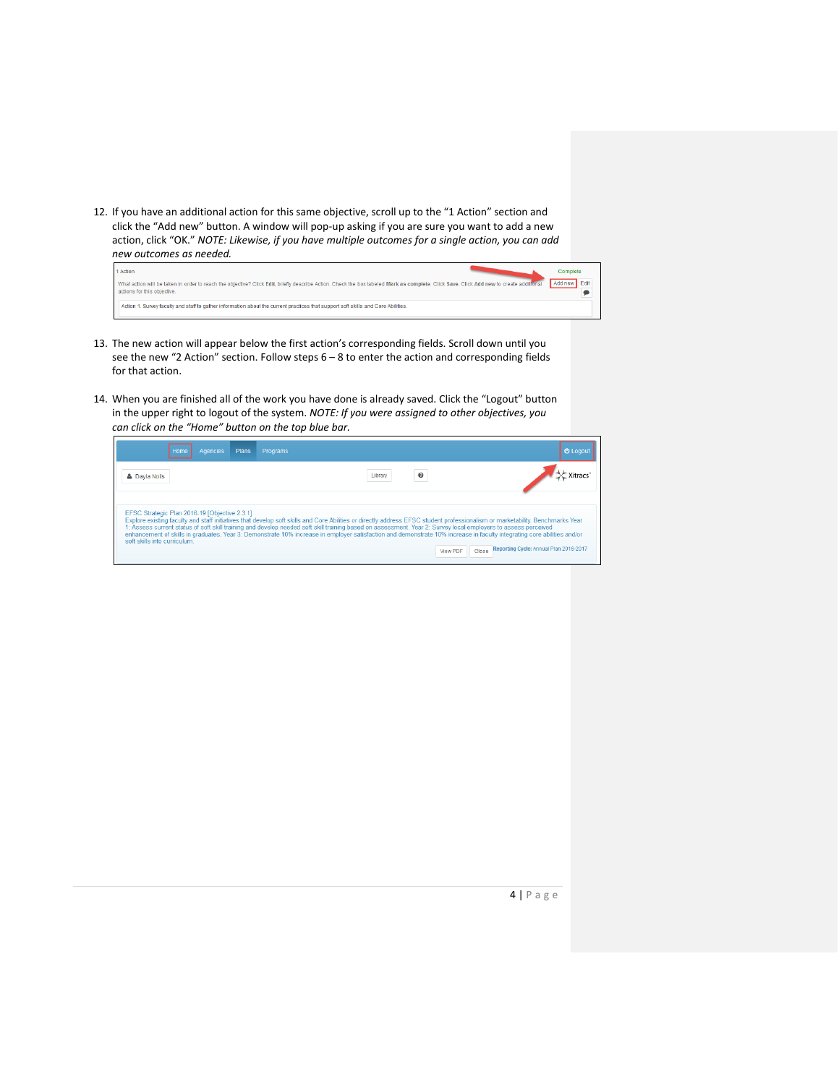12. If you have an additional action for this same objective, scroll up to the "1 Action" section and click the "Add new" button. A window will pop-up asking if you are sure you want to add a new action, click "OK." *NOTE: Likewise, if you have multiple outcomes for a single action, you can add new outcomes as needed.*

| 1 Action                                                                                                                                                                                                              | Complete     |
|-----------------------------------------------------------------------------------------------------------------------------------------------------------------------------------------------------------------------|--------------|
| What action will be taken in order to reach the objective? Click Edit, briefly describe Action, Check the box labeled Mark as complete. Click Save, Click Add new to create additional<br>actions for this objective. | Add new Edit |
| Action 1. Survey faculty and staff to gather information about the current practices that support soft skills and Core Abilities.                                                                                     |              |

- 13. The new action will appear below the first action's corresponding fields. Scroll down until you see the new "2 Action" section. Follow steps 6 – 8 to enter the action and corresponding fields for that action.
- 14. When you are finished all of the work you have done is already saved. Click the "Logout" button in the upper right to logout of the system. *NOTE: If you were assigned to other objectives, you can click on the "Home" button on the top blue bar.*

| Agencies<br>Plans<br>Home                                                     | Programs                                                                                                                                                                                                                                                                                                                                                                                                                                                                                                                               | <b>O</b> Logout                                 |
|-------------------------------------------------------------------------------|----------------------------------------------------------------------------------------------------------------------------------------------------------------------------------------------------------------------------------------------------------------------------------------------------------------------------------------------------------------------------------------------------------------------------------------------------------------------------------------------------------------------------------------|-------------------------------------------------|
| <b>&amp; Davia Nolis</b>                                                      | ℯ<br>Libran                                                                                                                                                                                                                                                                                                                                                                                                                                                                                                                            |                                                 |
| EFSC Strategic Plan 2016-19 [Objective 2.3.1]<br>soft skills into curriculum. | Explore existing faculty and staff initiatives that develop soft skills and Core Abilities or directly address EFSC student professionalism or marketability. Benchmarks Year<br>1: Assess current status of soft skill training and develop needed soft skill training based on assessment. Year 2: Survey local employers to assess perceived<br>enhancement of skills in graduates. Year 3: Demonstrate 10% increase in employer satisfaction and demonstrate 10% increase in faculty integrating core abilities and/or<br>View PDF | Reporting Cycle: Annual Plan 2016-2017<br>Close |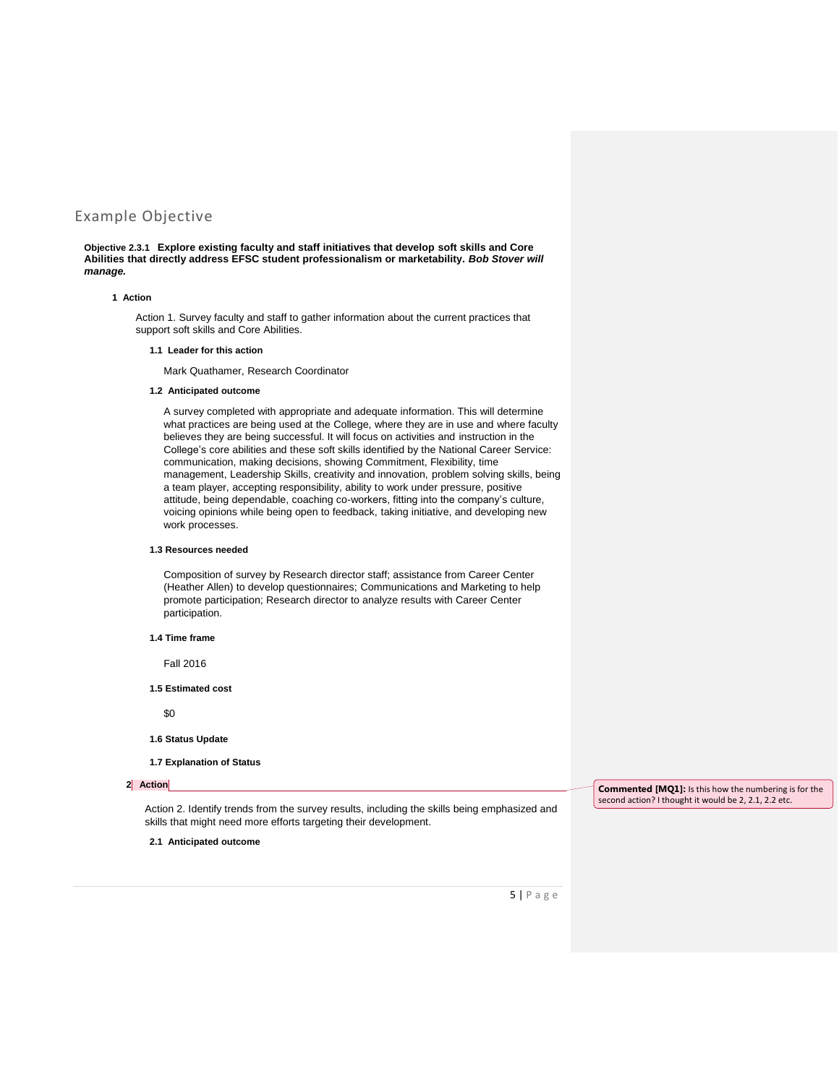# Example Objective

**Objective 2.3.1 Explore existing faculty and staff initiatives that develop soft skills and Core Abilities that directly address EFSC student professionalism or marketability***. Bob Stover will manage.*

#### **1 Action**

Action 1. Survey faculty and staff to gather information about the current practices that support soft skills and Core Abilities.

#### **1.1 Leader for this action**

Mark Quathamer, Research Coordinator

#### **1.2 Anticipated outcome**

A survey completed with appropriate and adequate information. This will determine what practices are being used at the College, where they are in use and where faculty believes they are being successful. It will focus on activities and instruction in the College's core abilities and these soft skills identified by the National Career Service: communication, making decisions, showing Commitment, Flexibility, time management, Leadership Skills, creativity and innovation, problem solving skills, being a team player, accepting responsibility, ability to work under pressure, positive attitude, being dependable, coaching co-workers, fitting into the company's culture, voicing opinions while being open to feedback, taking initiative, and developing new work processes.

#### **1.3 Resources needed**

Composition of survey by Research director staff; assistance from Career Center (Heather Allen) to develop questionnaires; Communications and Marketing to help promote participation; Research director to analyze results with Career Center participation.

**1.4 Time frame**

Fall 2016

**1.5 Estimated cost**

\$0

- **1.6 Status Update**
- **1.7 Explanation of Status**

#### **2 Action**

Action 2. Identify trends from the survey results, including the skills being emphasized and skills that might need more efforts targeting their development.

**Commented [MQ1]:** Is this how the numbering is for the second action? I thought it would be 2, 2.1, 2.2 etc.

**2.1 Anticipated outcome**